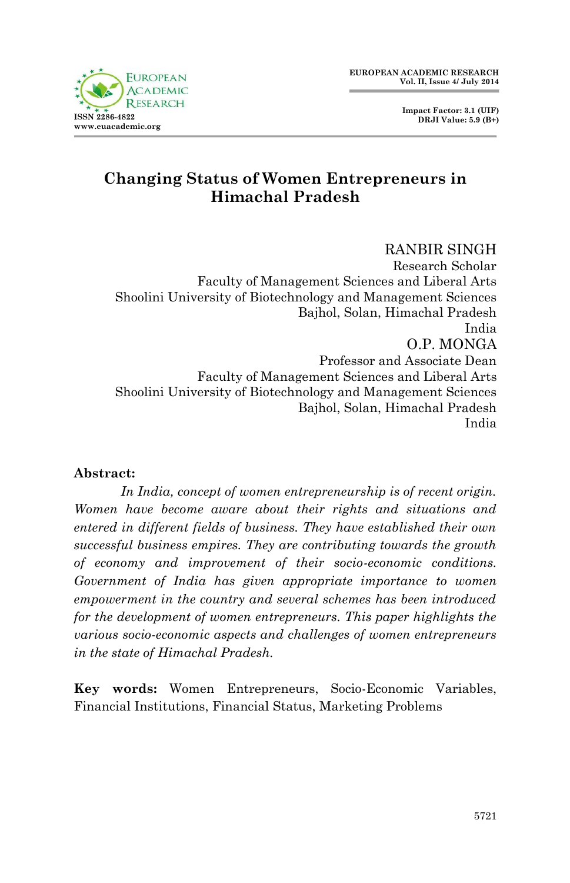

# **Changing Status of Women Entrepreneurs in Himachal Pradesh**

RANBIR SINGH Research Scholar Faculty of Management Sciences and Liberal Arts Shoolini University of Biotechnology and Management Sciences Bajhol, Solan, Himachal Pradesh India O.P. MONGA Professor and Associate Dean Faculty of Management Sciences and Liberal Arts Shoolini University of Biotechnology and Management Sciences Bajhol, Solan, Himachal Pradesh India

#### **Abstract:**

*In India, concept of women entrepreneurship is of recent origin. Women have become aware about their rights and situations and entered in different fields of business. They have established their own successful business empires. They are contributing towards the growth of economy and improvement of their socio-economic conditions. Government of India has given appropriate importance to women empowerment in the country and several schemes has been introduced for the development of women entrepreneurs. This paper highlights the various socio-economic aspects and challenges of women entrepreneurs in the state of Himachal Pradesh.* 

**Key words:** Women Entrepreneurs, Socio-Economic Variables, Financial Institutions, Financial Status, Marketing Problems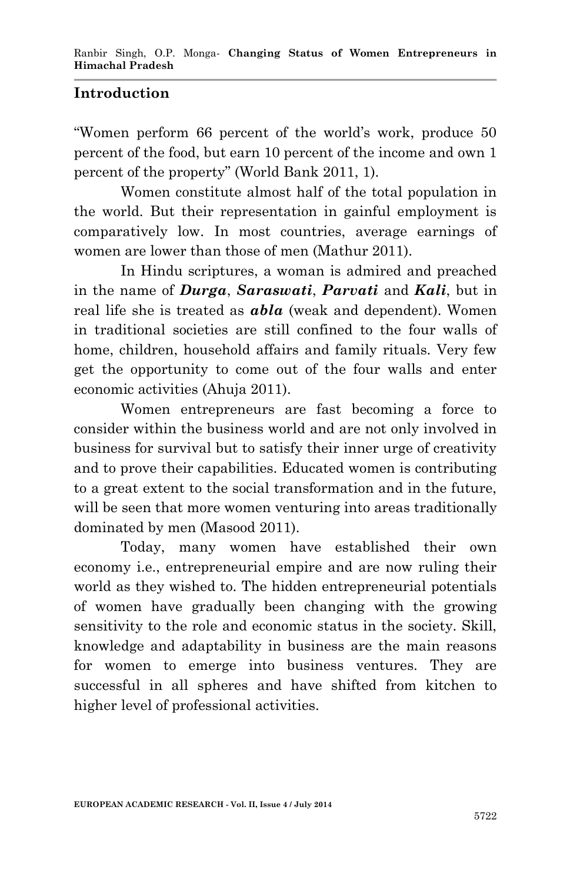## **Introduction**

"Women perform 66 percent of the world's work, produce 50 percent of the food, but earn 10 percent of the income and own 1 percent of the property" (World Bank 2011, 1).

Women constitute almost half of the total population in the world. But their representation in gainful employment is comparatively low. In most countries, average earnings of women are lower than those of men (Mathur 2011).

In Hindu scriptures, a woman is admired and preached in the name of *Durga*, *Saraswati*, *Parvati* and *Kali*, but in real life she is treated as *abla* (weak and dependent). Women in traditional societies are still confined to the four walls of home, children, household affairs and family rituals. Very few get the opportunity to come out of the four walls and enter economic activities (Ahuja 2011).

Women entrepreneurs are fast becoming a force to consider within the business world and are not only involved in business for survival but to satisfy their inner urge of creativity and to prove their capabilities. Educated women is contributing to a great extent to the social transformation and in the future, will be seen that more women venturing into areas traditionally dominated by men (Masood 2011).

Today, many women have established their own economy i.e., entrepreneurial empire and are now ruling their world as they wished to. The hidden entrepreneurial potentials of women have gradually been changing with the growing sensitivity to the role and economic status in the society. Skill, knowledge and adaptability in business are the main reasons for women to emerge into business ventures. They are successful in all spheres and have shifted from kitchen to higher level of professional activities.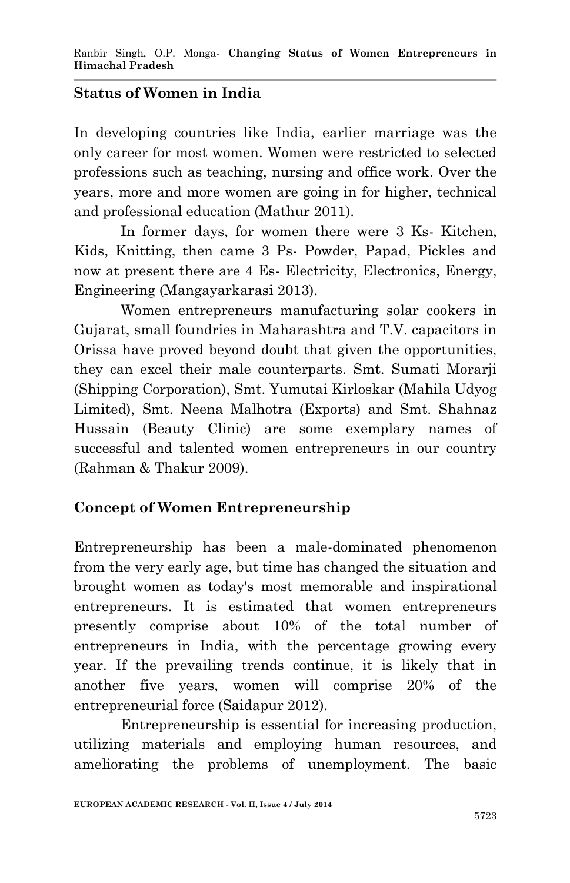## **Status of Women in India**

In developing countries like India, earlier marriage was the only career for most women. Women were restricted to selected professions such as teaching, nursing and office work. Over the years, more and more women are going in for higher, technical and professional education (Mathur 2011).

In former days, for women there were 3 Ks- Kitchen, Kids, Knitting, then came 3 Ps- Powder, Papad, Pickles and now at present there are 4 Es- Electricity, Electronics, Energy, Engineering (Mangayarkarasi 2013).

Women entrepreneurs manufacturing solar cookers in Gujarat, small foundries in Maharashtra and T.V. capacitors in Orissa have proved beyond doubt that given the opportunities, they can excel their male counterparts. Smt. Sumati Morarji (Shipping Corporation), Smt. Yumutai Kirloskar (Mahila Udyog Limited), Smt. Neena Malhotra (Exports) and Smt. Shahnaz Hussain (Beauty Clinic) are some exemplary names of successful and talented women entrepreneurs in our country (Rahman & Thakur 2009).

## **Concept of Women Entrepreneurship**

Entrepreneurship has been a male-dominated phenomenon from the very early age, but time has changed the situation and brought women as today's most memorable and inspirational entrepreneurs. It is estimated that women entrepreneurs presently comprise about 10% of the total number of entrepreneurs in India, with the percentage growing every year. If the prevailing trends continue, it is likely that in another five years, women will comprise 20% of the entrepreneurial force (Saidapur 2012).

Entrepreneurship is essential for increasing production, utilizing materials and employing human resources, and ameliorating the problems of unemployment. The basic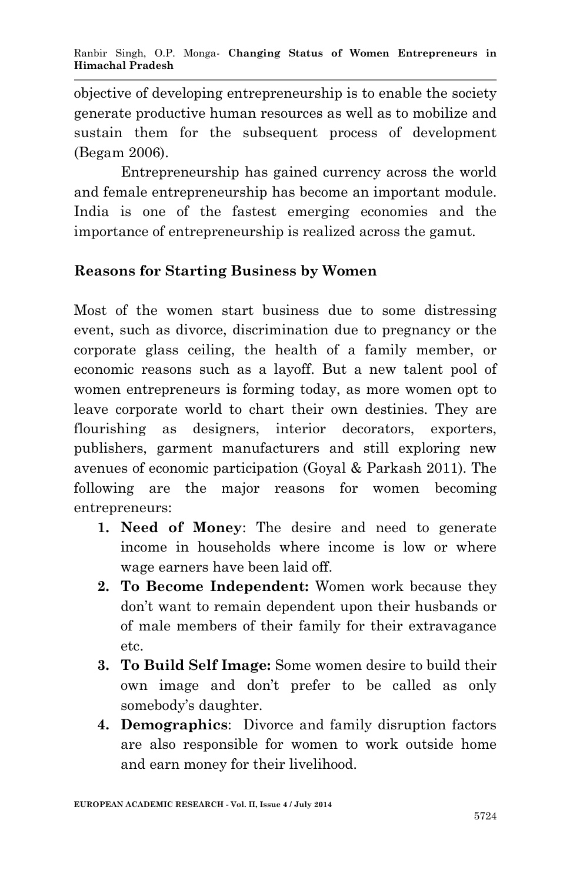objective of developing entrepreneurship is to enable the society generate productive human resources as well as to mobilize and sustain them for the subsequent process of development (Begam 2006).

Entrepreneurship has gained currency across the world and female entrepreneurship has become an important module. India is one of the fastest emerging economies and the importance of entrepreneurship is realized across the gamut.

## **Reasons for Starting Business by Women**

Most of the women start business due to some distressing event, such as divorce, discrimination due to pregnancy or the corporate glass ceiling, the health of a family member, or economic reasons such as a layoff. But a new talent pool of women entrepreneurs is forming today, as more women opt to leave corporate world to chart their own destinies. They are flourishing as designers, interior decorators, exporters, publishers, garment manufacturers and still exploring new avenues of economic participation (Goyal & Parkash 2011). The following are the major reasons for women becoming entrepreneurs:

- **1. Need of Money**: The desire and need to generate income in households where income is low or where wage earners have been laid off.
- **2. To Become Independent:** Women work because they don't want to remain dependent upon their husbands or of male members of their family for their extravagance etc.
- **3. To Build Self Image:** Some women desire to build their own image and don't prefer to be called as only somebody's daughter.
- **4. Demographics**: Divorce and family disruption factors are also responsible for women to work outside home and earn money for their livelihood.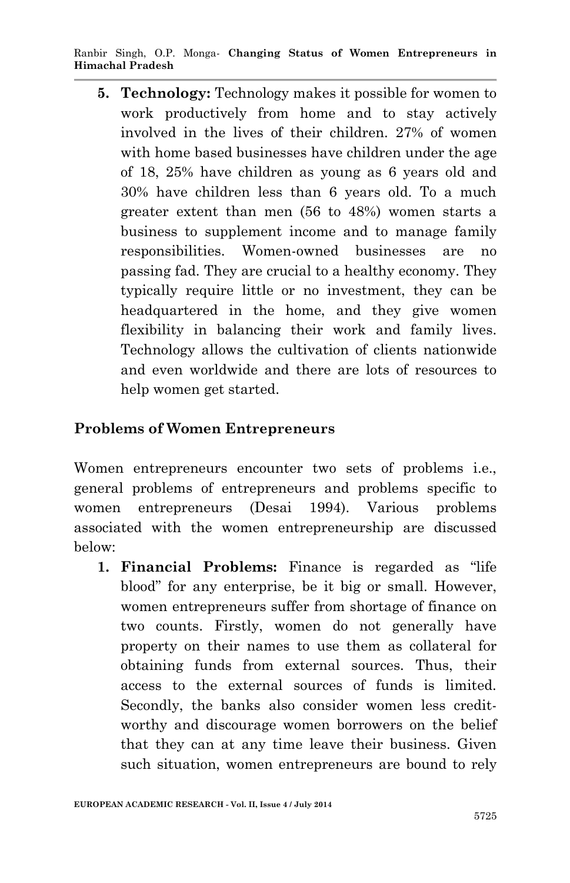Ranbir Singh, O.P. Monga*-* **Changing Status of Women Entrepreneurs in Himachal Pradesh**

**5. Technology:** Technology makes it possible for women to work productively from home and to stay actively involved in the lives of their children. 27% of women with home based businesses have children under the age of 18, 25% have children as young as 6 years old and 30% have children less than 6 years old. To a much greater extent than men (56 to 48%) women starts a business to supplement income and to manage family responsibilities. Women-owned businesses are no passing fad. They are crucial to a healthy economy. They typically require little or no investment, they can be headquartered in the home, and they give women flexibility in balancing their work and family lives. Technology allows the cultivation of clients nationwide and even worldwide and there are lots of resources to help women get started.

#### **Problems of Women Entrepreneurs**

Women entrepreneurs encounter two sets of problems i.e., general problems of entrepreneurs and problems specific to women entrepreneurs (Desai 1994). Various problems associated with the women entrepreneurship are discussed below:

**1. Financial Problems:** Finance is regarded as "life blood" for any enterprise, be it big or small. However, women entrepreneurs suffer from shortage of finance on two counts. Firstly, women do not generally have property on their names to use them as collateral for obtaining funds from external sources. Thus, their access to the external sources of funds is limited. Secondly, the banks also consider women less creditworthy and discourage women borrowers on the belief that they can at any time leave their business. Given such situation, women entrepreneurs are bound to rely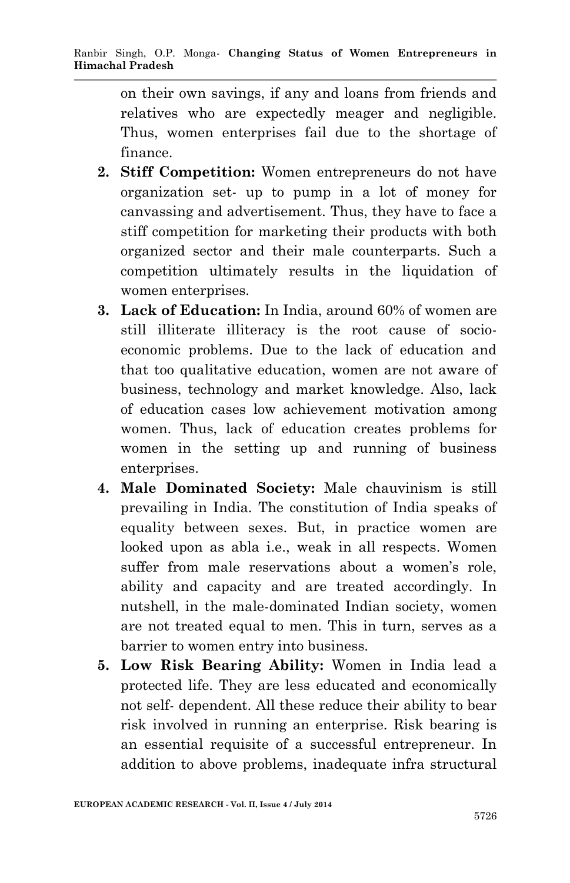on their own savings, if any and loans from friends and relatives who are expectedly meager and negligible. Thus, women enterprises fail due to the shortage of finance.

- **2. Stiff Competition:** Women entrepreneurs do not have organization set- up to pump in a lot of money for canvassing and advertisement. Thus, they have to face a stiff competition for marketing their products with both organized sector and their male counterparts. Such a competition ultimately results in the liquidation of women enterprises.
- **3. Lack of Education:** In India, around 60% of women are still illiterate illiteracy is the root cause of socioeconomic problems. Due to the lack of education and that too qualitative education, women are not aware of business, technology and market knowledge. Also, lack of education cases low achievement motivation among women. Thus, lack of education creates problems for women in the setting up and running of business enterprises.
- **4. Male Dominated Society:** Male chauvinism is still prevailing in India. The constitution of India speaks of equality between sexes. But, in practice women are looked upon as abla i.e., weak in all respects. Women suffer from male reservations about a women's role, ability and capacity and are treated accordingly. In nutshell, in the male-dominated Indian society, women are not treated equal to men. This in turn, serves as a barrier to women entry into business.
- **5. Low Risk Bearing Ability:** Women in India lead a protected life. They are less educated and economically not self- dependent. All these reduce their ability to bear risk involved in running an enterprise. Risk bearing is an essential requisite of a successful entrepreneur. In addition to above problems, inadequate infra structural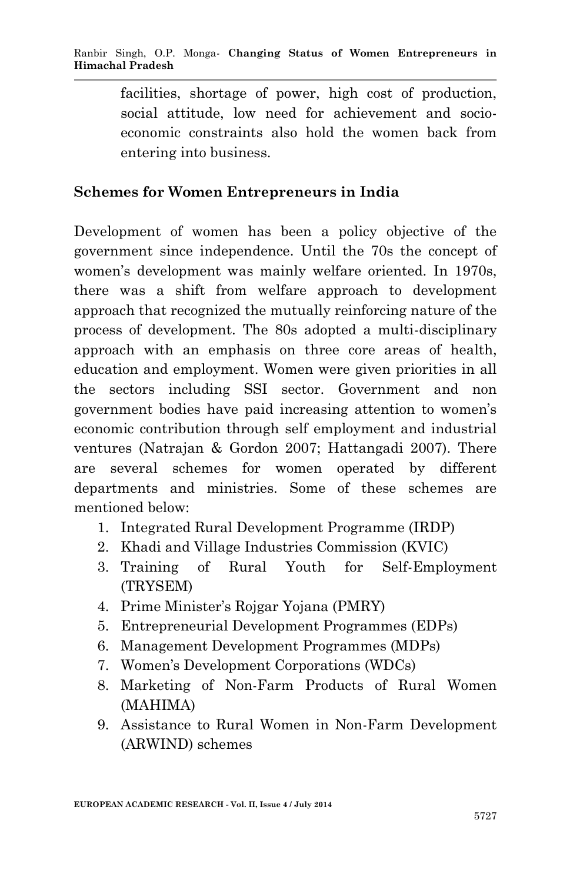facilities, shortage of power, high cost of production, social attitude, low need for achievement and socioeconomic constraints also hold the women back from entering into business.

## **Schemes for Women Entrepreneurs in India**

Development of women has been a policy objective of the government since independence. Until the 70s the concept of women's development was mainly welfare oriented. In 1970s, there was a shift from welfare approach to development approach that recognized the mutually reinforcing nature of the process of development. The 80s adopted a multi-disciplinary approach with an emphasis on three core areas of health, education and employment. Women were given priorities in all the sectors including SSI sector. Government and non government bodies have paid increasing attention to women's economic contribution through self employment and industrial ventures (Natrajan & Gordon 2007; Hattangadi 2007). There are several schemes for women operated by different departments and ministries. Some of these schemes are mentioned below:

- 1. Integrated Rural Development Programme (IRDP)
- 2. Khadi and Village Industries Commission (KVIC)
- 3. Training of Rural Youth for Self-Employment (TRYSEM)
- 4. Prime Minister's Rojgar Yojana (PMRY)
- 5. Entrepreneurial Development Programmes (EDPs)
- 6. Management Development Programmes (MDPs)
- 7. Women's Development Corporations (WDCs)
- 8. Marketing of Non-Farm Products of Rural Women (MAHIMA)
- 9. Assistance to Rural Women in Non-Farm Development (ARWIND) schemes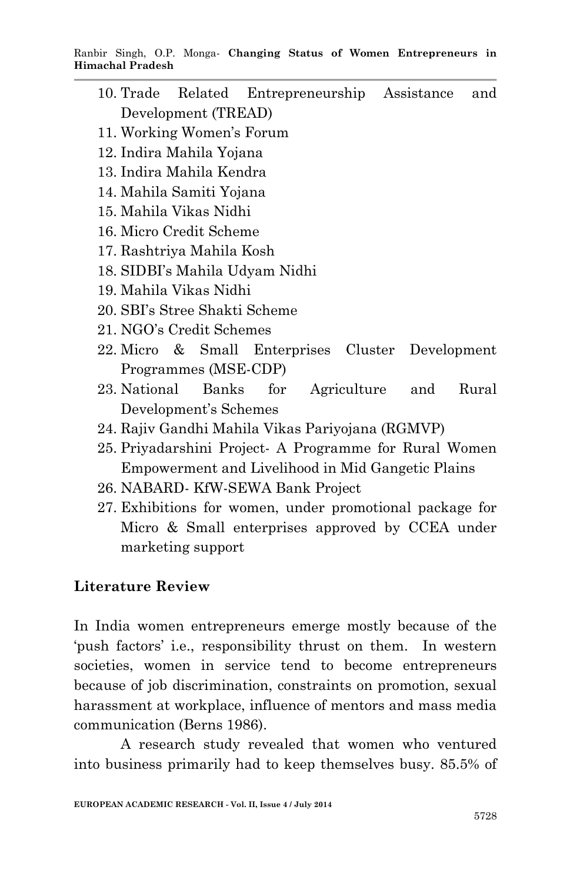Ranbir Singh, O.P. Monga*-* **Changing Status of Women Entrepreneurs in Himachal Pradesh**

- 10. Trade Related Entrepreneurship Assistance and Development (TREAD)
- 11. Working Women's Forum
- 12. Indira Mahila Yojana
- 13. Indira Mahila Kendra
- 14. Mahila Samiti Yojana
- 15. Mahila Vikas Nidhi
- 16. Micro Credit Scheme
- 17. Rashtriya Mahila Kosh
- 18. SIDBI's Mahila Udyam Nidhi
- 19. Mahila Vikas Nidhi
- 20. SBI's Stree Shakti Scheme
- 21. NGO's Credit Schemes
- 22. Micro & Small Enterprises Cluster Development Programmes (MSE-CDP)
- 23. National Banks for Agriculture and Rural Development's Schemes
- 24. Rajiv Gandhi Mahila Vikas Pariyojana (RGMVP)
- 25. Priyadarshini Project- A Programme for Rural Women Empowerment and Livelihood in Mid Gangetic Plains
- 26. NABARD- KfW-SEWA Bank Project
- 27. Exhibitions for women, under promotional package for Micro & Small enterprises approved by CCEA under marketing support

#### **Literature Review**

In India women entrepreneurs emerge mostly because of the 'push factors' i.e., responsibility thrust on them. In western societies, women in service tend to become entrepreneurs because of job discrimination, constraints on promotion, sexual harassment at workplace, influence of mentors and mass media communication (Berns 1986).

A research study revealed that women who ventured into business primarily had to keep themselves busy. 85.5% of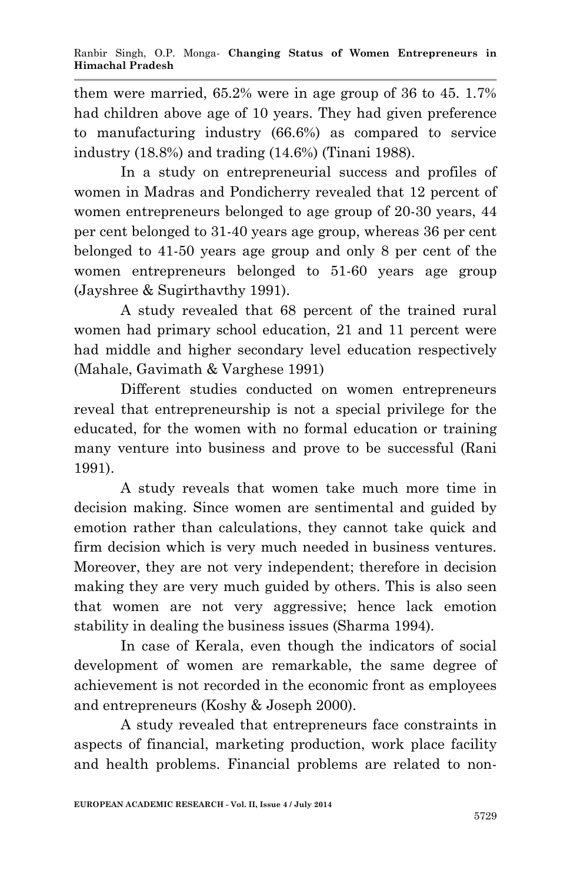them were married, 65.2% were in age group of 36 to 45. 1.7% had children above age of 10 years. They had given preference to manufacturing industry (66.6%) as compared to service industry (18.8%) and trading (14.6%) (Tinani 1988).

In a study on entrepreneurial success and profiles of women in Madras and Pondicherry revealed that 12 percent of women entrepreneurs belonged to age group of 20-30 years, 44 per cent belonged to 31-40 years age group, whereas 36 per cent belonged to 41-50 years age group and only 8 per cent of the women entrepreneurs belonged to 51-60 years age group (Jayshree & Sugirthavthy 1991).

A study revealed that 68 percent of the trained rural women had primary school education, 21 and 11 percent were had middle and higher secondary level education respectively (Mahale, Gavimath & Varghese 1991)

Different studies conducted on women entrepreneurs reveal that entrepreneurship is not a special privilege for the educated, for the women with no formal education or training many venture into business and prove to be successful (Rani 1991).

A study reveals that women take much more time in decision making. Since women are sentimental and guided by emotion rather than calculations, they cannot take quick and firm decision which is very much needed in business ventures. Moreover, they are not very independent; therefore in decision making they are very much guided by others. This is also seen that women are not very aggressive; hence lack emotion stability in dealing the business issues (Sharma 1994).

In case of Kerala, even though the indicators of social development of women are remarkable, the same degree of achievement is not recorded in the economic front as employees and entrepreneurs (Koshy & Joseph 2000).

A study revealed that entrepreneurs face constraints in aspects of financial, marketing production, work place facility and health problems. Financial problems are related to non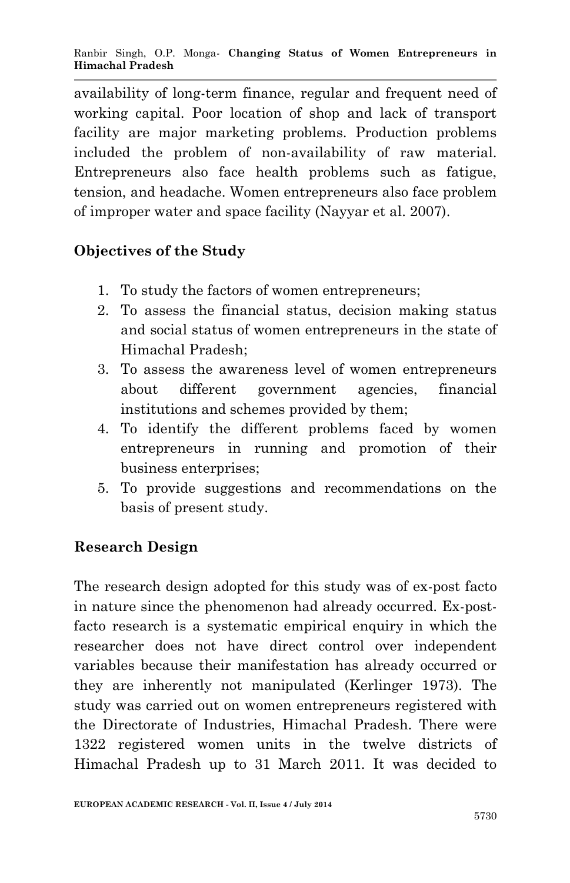availability of long-term finance, regular and frequent need of working capital. Poor location of shop and lack of transport facility are major marketing problems. Production problems included the problem of non-availability of raw material. Entrepreneurs also face health problems such as fatigue, tension, and headache. Women entrepreneurs also face problem of improper water and space facility (Nayyar et al. 2007).

# **Objectives of the Study**

- 1. To study the factors of women entrepreneurs;
- 2. To assess the financial status, decision making status and social status of women entrepreneurs in the state of Himachal Pradesh;
- 3. To assess the awareness level of women entrepreneurs about different government agencies, financial institutions and schemes provided by them;
- 4. To identify the different problems faced by women entrepreneurs in running and promotion of their business enterprises;
- 5. To provide suggestions and recommendations on the basis of present study.

## **Research Design**

The research design adopted for this study was of ex-post facto in nature since the phenomenon had already occurred. Ex-postfacto research is a systematic empirical enquiry in which the researcher does not have direct control over independent variables because their manifestation has already occurred or they are inherently not manipulated (Kerlinger 1973). The study was carried out on women entrepreneurs registered with the Directorate of Industries, Himachal Pradesh. There were 1322 registered women units in the twelve districts of Himachal Pradesh up to 31 March 2011. It was decided to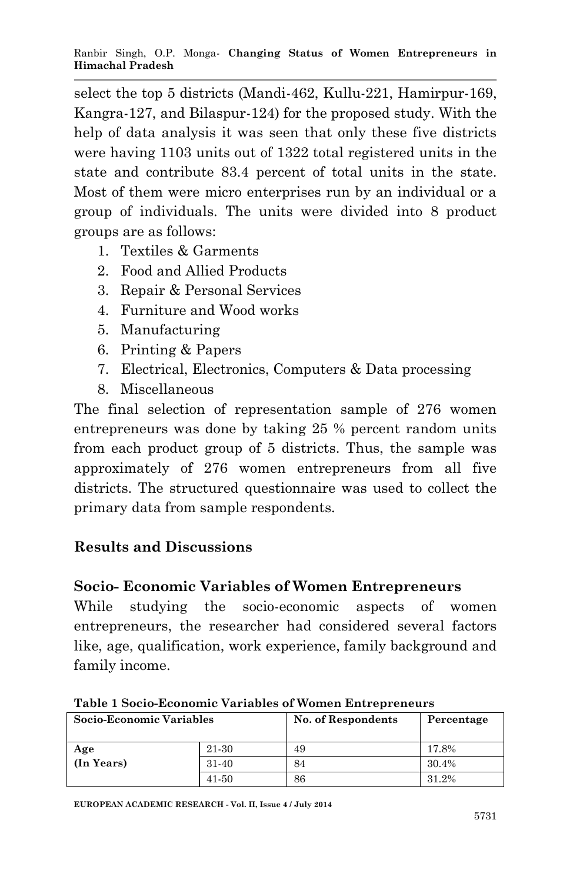select the top 5 districts (Mandi-462, Kullu-221, Hamirpur-169, Kangra-127, and Bilaspur-124) for the proposed study. With the help of data analysis it was seen that only these five districts were having 1103 units out of 1322 total registered units in the state and contribute 83.4 percent of total units in the state. Most of them were micro enterprises run by an individual or a group of individuals. The units were divided into 8 product groups are as follows:

- 1. Textiles & Garments
- 2. Food and Allied Products
- 3. Repair & Personal Services
- 4. Furniture and Wood works
- 5. Manufacturing
- 6. Printing & Papers
- 7. Electrical, Electronics, Computers & Data processing
- 8. Miscellaneous

The final selection of representation sample of 276 women entrepreneurs was done by taking 25 % percent random units from each product group of 5 districts. Thus, the sample was approximately of 276 women entrepreneurs from all five districts. The structured questionnaire was used to collect the primary data from sample respondents.

# **Results and Discussions**

## **Socio- Economic Variables of Women Entrepreneurs**

While studying the socio-economic aspects of women entrepreneurs, the researcher had considered several factors like, age, qualification, work experience, family background and family income.

| Socio-Economic Variables |           | No. of Respondents | Percentage |
|--------------------------|-----------|--------------------|------------|
| Age                      | 21-30     | 49                 | 17.8%      |
| (In Years)               | $31 - 40$ | 84                 | 30.4%      |
|                          | 41-50     | 86                 | 31.2%      |

**Table 1 Socio-Economic Variables of Women Entrepreneurs**

**EUROPEAN ACADEMIC RESEARCH - Vol. II, Issue 4 / July 2014**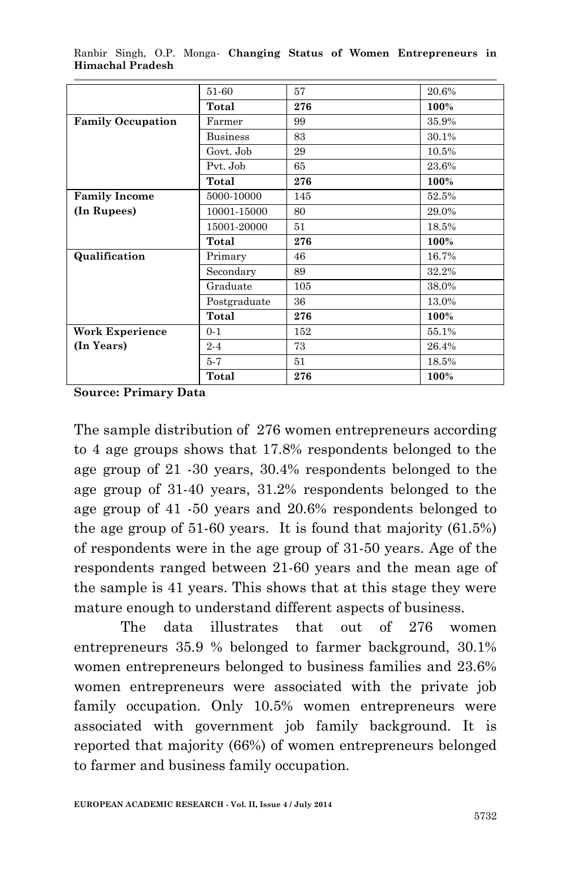|                          | 51-60           | 57  | 20.6% |
|--------------------------|-----------------|-----|-------|
|                          | Total           | 276 | 100%  |
| <b>Family Occupation</b> | Farmer          | 99  | 35.9% |
|                          | <b>Business</b> | 83  | 30.1% |
|                          | Govt. Job       | 29  | 10.5% |
|                          | Pvt. Job        | 65  | 23.6% |
|                          | Total           | 276 | 100%  |
| <b>Family Income</b>     | 5000-10000      | 145 | 52.5% |
| (In Rupees)              | 10001-15000     | 80  | 29.0% |
|                          | 15001-20000     | 51  | 18.5% |
|                          | Total           | 276 | 100%  |
| Qualification            | Primary         | 46  | 16.7% |
|                          | Secondary       | 89  | 32.2% |
|                          | Graduate        | 105 | 38.0% |
|                          | Postgraduate    | 36  | 13.0% |
|                          | Total           | 276 | 100%  |
| Work Experience          | $0 - 1$         | 152 | 55.1% |
| (In Years)               | $2 - 4$         | 73  | 26.4% |
|                          | $5 - 7$         | 51  | 18.5% |
|                          |                 |     |       |

Ranbir Singh, O.P. Monga*-* **Changing Status of Women Entrepreneurs in Himachal Pradesh**

**Source: Primary Data**

The sample distribution of 276 women entrepreneurs according to 4 age groups shows that 17.8% respondents belonged to the age group of 21 -30 years, 30.4% respondents belonged to the age group of 31-40 years, 31.2% respondents belonged to the age group of 41 -50 years and 20.6% respondents belonged to the age group of 51-60 years. It is found that majority (61.5%) of respondents were in the age group of 31-50 years. Age of the respondents ranged between 21-60 years and the mean age of the sample is 41 years. This shows that at this stage they were mature enough to understand different aspects of business.

The data illustrates that out of 276 women entrepreneurs 35.9 % belonged to farmer background, 30.1% women entrepreneurs belonged to business families and 23.6% women entrepreneurs were associated with the private job family occupation. Only 10.5% women entrepreneurs were associated with government job family background. It is reported that majority (66%) of women entrepreneurs belonged to farmer and business family occupation.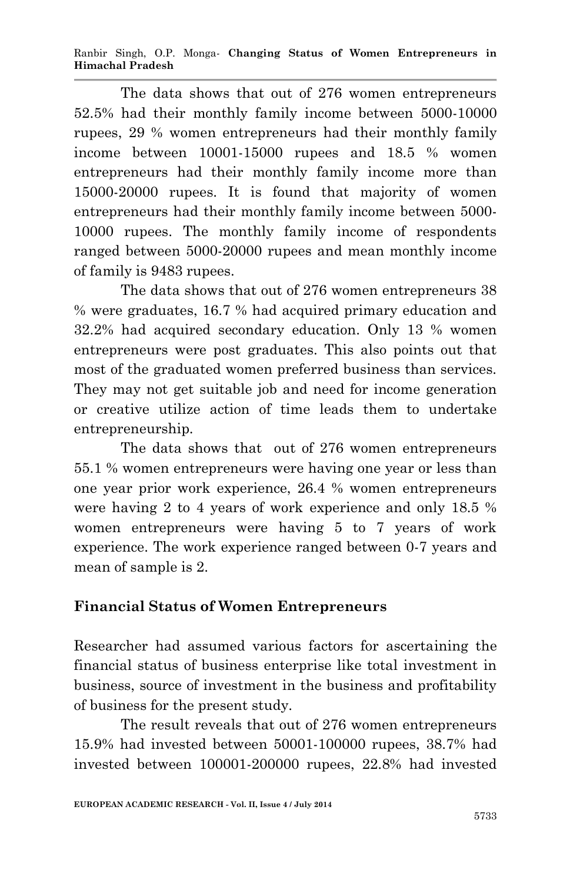Ranbir Singh, O.P. Monga*-* **Changing Status of Women Entrepreneurs in Himachal Pradesh**

The data shows that out of 276 women entrepreneurs 52.5% had their monthly family income between 5000-10000 rupees, 29 % women entrepreneurs had their monthly family income between 10001-15000 rupees and 18.5 % women entrepreneurs had their monthly family income more than 15000-20000 rupees. It is found that majority of women entrepreneurs had their monthly family income between 5000- 10000 rupees. The monthly family income of respondents ranged between 5000-20000 rupees and mean monthly income of family is 9483 rupees.

The data shows that out of 276 women entrepreneurs 38 % were graduates, 16.7 % had acquired primary education and 32.2% had acquired secondary education. Only 13 % women entrepreneurs were post graduates. This also points out that most of the graduated women preferred business than services. They may not get suitable job and need for income generation or creative utilize action of time leads them to undertake entrepreneurship.

The data shows that out of 276 women entrepreneurs 55.1 % women entrepreneurs were having one year or less than one year prior work experience, 26.4 % women entrepreneurs were having 2 to 4 years of work experience and only 18.5 % women entrepreneurs were having 5 to 7 years of work experience. The work experience ranged between 0-7 years and mean of sample is 2.

#### **Financial Status of Women Entrepreneurs**

Researcher had assumed various factors for ascertaining the financial status of business enterprise like total investment in business, source of investment in the business and profitability of business for the present study.

The result reveals that out of 276 women entrepreneurs 15.9% had invested between 50001-100000 rupees, 38.7% had invested between 100001-200000 rupees, 22.8% had invested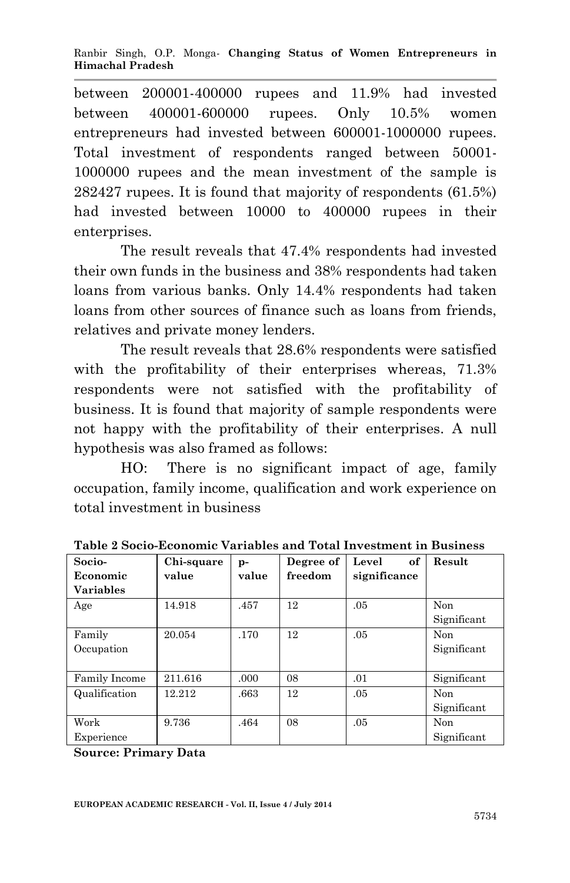between 200001-400000 rupees and 11.9% had invested between 400001-600000 rupees. Only 10.5% women entrepreneurs had invested between 600001-1000000 rupees. Total investment of respondents ranged between 50001- 1000000 rupees and the mean investment of the sample is 282427 rupees. It is found that majority of respondents (61.5%) had invested between 10000 to 400000 rupees in their enterprises.

The result reveals that 47.4% respondents had invested their own funds in the business and 38% respondents had taken loans from various banks. Only 14.4% respondents had taken loans from other sources of finance such as loans from friends, relatives and private money lenders.

The result reveals that 28.6% respondents were satisfied with the profitability of their enterprises whereas, 71.3% respondents were not satisfied with the profitability of business. It is found that majority of sample respondents were not happy with the profitability of their enterprises. A null hypothesis was also framed as follows:

HO: There is no significant impact of age, family occupation, family income, qualification and work experience on total investment in business

| Socio-           | Chi-square | $p -$ | Degree of | of<br>Level  | Result      |
|------------------|------------|-------|-----------|--------------|-------------|
| Economic         | value      | value | freedom   | significance |             |
| <b>Variables</b> |            |       |           |              |             |
| Age              | 14.918     | .457  | 12        | .05          | Non         |
|                  |            |       |           |              | Significant |
| Family           | 20.054     | .170  | 12        | .05          | <b>Non</b>  |
| Occupation       |            |       |           |              | Significant |
|                  |            |       |           |              |             |
| Family Income    | 211.616    | .000. | 08        | .01          | Significant |
| Qualification    | 12.212     | .663  | 12        | .05          | Non         |
|                  |            |       |           |              | Significant |
| Work             | 9.736      | .464  | 08        | .05          | <b>Non</b>  |
| Experience       |            |       |           |              | Significant |

**Table 2 Socio-Economic Variables and Total Investment in Business**

**Source: Primary Data**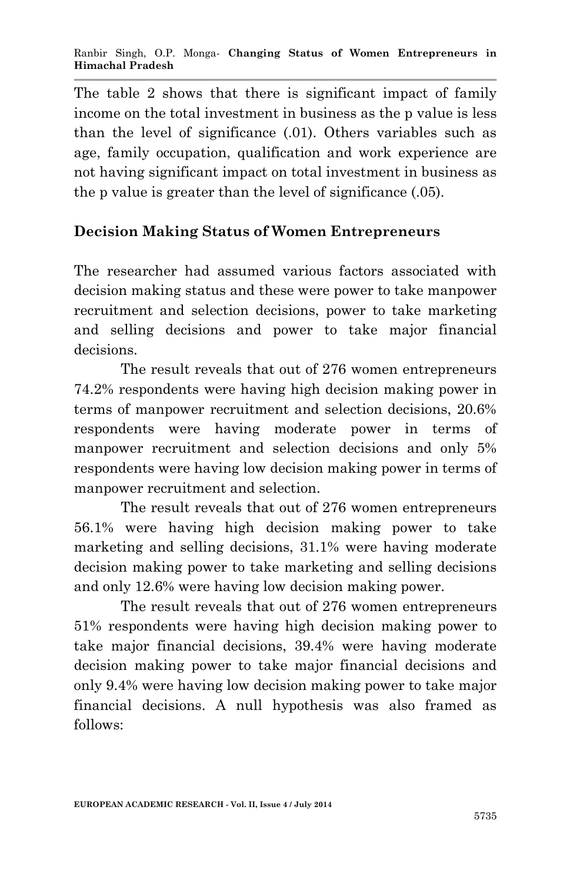The table 2 shows that there is significant impact of family income on the total investment in business as the p value is less than the level of significance (.01). Others variables such as age, family occupation, qualification and work experience are not having significant impact on total investment in business as the p value is greater than the level of significance (.05).

# **Decision Making Status of Women Entrepreneurs**

The researcher had assumed various factors associated with decision making status and these were power to take manpower recruitment and selection decisions, power to take marketing and selling decisions and power to take major financial decisions.

The result reveals that out of 276 women entrepreneurs 74.2% respondents were having high decision making power in terms of manpower recruitment and selection decisions, 20.6% respondents were having moderate power in terms of manpower recruitment and selection decisions and only 5% respondents were having low decision making power in terms of manpower recruitment and selection.

The result reveals that out of 276 women entrepreneurs 56.1% were having high decision making power to take marketing and selling decisions, 31.1% were having moderate decision making power to take marketing and selling decisions and only 12.6% were having low decision making power.

The result reveals that out of 276 women entrepreneurs 51% respondents were having high decision making power to take major financial decisions, 39.4% were having moderate decision making power to take major financial decisions and only 9.4% were having low decision making power to take major financial decisions. A null hypothesis was also framed as follows: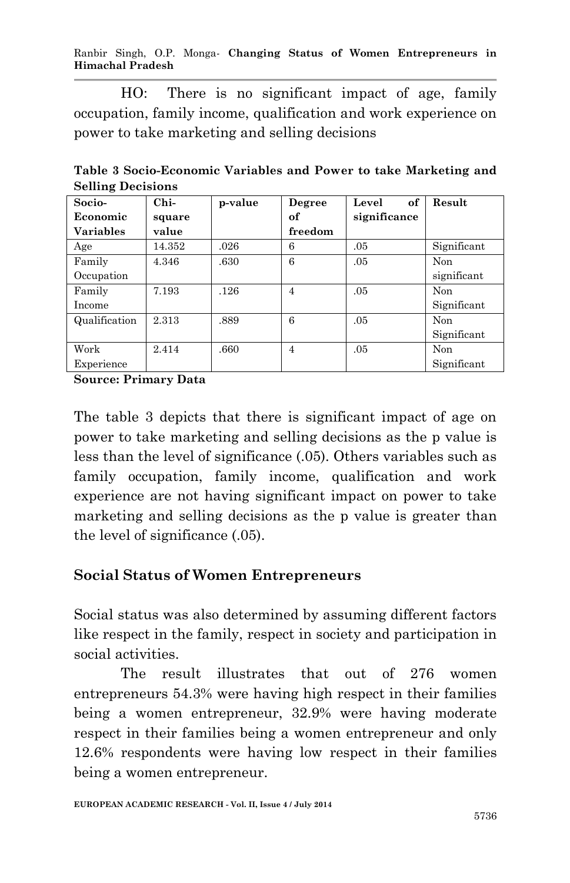Ranbir Singh, O.P. Monga*-* **Changing Status of Women Entrepreneurs in Himachal Pradesh**

HO: There is no significant impact of age, family occupation, family income, qualification and work experience on power to take marketing and selling decisions

**Table 3 Socio-Economic Variables and Power to take Marketing and Selling Decisions**

| Socio-           | $Chi-$ | p-value | Degree         | of<br>Level  | Result      |
|------------------|--------|---------|----------------|--------------|-------------|
| Economic         | square |         | of             | significance |             |
| <b>Variables</b> | value  |         | freedom        |              |             |
| Age              | 14.352 | .026    | 6              | .05          | Significant |
| Family           | 4.346  | .630    | 6              | .05          | Non         |
| Occupation       |        |         |                |              | significant |
| Family           | 7.193  | .126    | 4              | .05          | Non         |
| Income           |        |         |                |              | Significant |
| Qualification    | 2.313  | .889    | 6              | .05          | Non         |
|                  |        |         |                |              | Significant |
| Work             | 2.414  | .660    | $\overline{4}$ | .05          | Non         |
| Experience       |        |         |                |              | Significant |

**Source: Primary Data**

The table 3 depicts that there is significant impact of age on power to take marketing and selling decisions as the p value is less than the level of significance (.05). Others variables such as family occupation, family income, qualification and work experience are not having significant impact on power to take marketing and selling decisions as the p value is greater than the level of significance (.05).

## **Social Status of Women Entrepreneurs**

Social status was also determined by assuming different factors like respect in the family, respect in society and participation in social activities.

The result illustrates that out of 276 women entrepreneurs 54.3% were having high respect in their families being a women entrepreneur, 32.9% were having moderate respect in their families being a women entrepreneur and only 12.6% respondents were having low respect in their families being a women entrepreneur.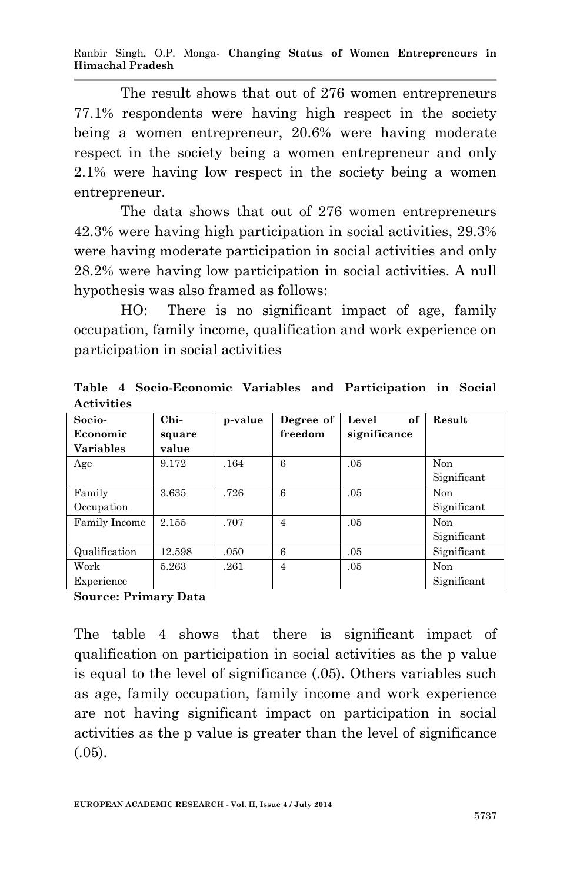Ranbir Singh, O.P. Monga*-* **Changing Status of Women Entrepreneurs in Himachal Pradesh**

The result shows that out of 276 women entrepreneurs 77.1% respondents were having high respect in the society being a women entrepreneur, 20.6% were having moderate respect in the society being a women entrepreneur and only 2.1% were having low respect in the society being a women entrepreneur.

The data shows that out of 276 women entrepreneurs 42.3% were having high participation in social activities, 29.3% were having moderate participation in social activities and only 28.2% were having low participation in social activities. A null hypothesis was also framed as follows:

HO: There is no significant impact of age, family occupation, family income, qualification and work experience on participation in social activities

**Table 4 Socio-Economic Variables and Participation in Social Activities**

| Socio-           | $Chi-$ | p-value | Degree of      | of<br>Level  | Result      |
|------------------|--------|---------|----------------|--------------|-------------|
| Economic         | square |         | freedom        | significance |             |
| <b>Variables</b> | value  |         |                |              |             |
| Age              | 9.172  | .164    | 6              | .05          | Non         |
|                  |        |         |                |              | Significant |
| Family           | 3.635  | .726    | 6              | .05          | Non         |
| Occupation       |        |         |                |              | Significant |
| Family Income    | 2.155  | .707    | $\overline{4}$ | .05          | Non         |
|                  |        |         |                |              | Significant |
| Qualification    | 12.598 | .050    | 6              | .05          | Significant |
| Work             | 5.263  | .261    | 4              | .05          | Non         |
| Experience       |        |         |                |              | Significant |

**Source: Primary Data**

The table 4 shows that there is significant impact of qualification on participation in social activities as the p value is equal to the level of significance (.05). Others variables such as age, family occupation, family income and work experience are not having significant impact on participation in social activities as the p value is greater than the level of significance  $(.05)$ .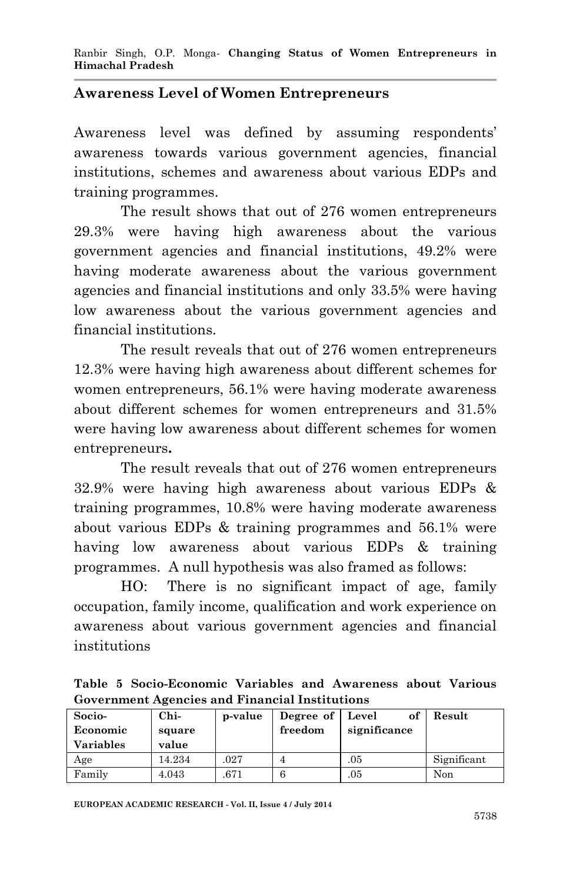#### **Awareness Level of Women Entrepreneurs**

Awareness level was defined by assuming respondents' awareness towards various government agencies, financial institutions, schemes and awareness about various EDPs and training programmes.

The result shows that out of 276 women entrepreneurs 29.3% were having high awareness about the various government agencies and financial institutions, 49.2% were having moderate awareness about the various government agencies and financial institutions and only 33.5% were having low awareness about the various government agencies and financial institutions.

The result reveals that out of 276 women entrepreneurs 12.3% were having high awareness about different schemes for women entrepreneurs, 56.1% were having moderate awareness about different schemes for women entrepreneurs and 31.5% were having low awareness about different schemes for women entrepreneurs**.** 

The result reveals that out of 276 women entrepreneurs 32.9% were having high awareness about various EDPs & training programmes, 10.8% were having moderate awareness about various EDPs & training programmes and 56.1% were having low awareness about various EDPs & training programmes. A null hypothesis was also framed as follows:

HO: There is no significant impact of age, family occupation, family income, qualification and work experience on awareness about various government agencies and financial institutions

**Table 5 Socio-Economic Variables and Awareness about Various Government Agencies and Financial Institutions**

| Socio-<br>Economic<br><b>Variables</b> | Chi-<br>square<br>value | p-value | Degree of   Level<br>freedom | оf<br>significance | Result      |
|----------------------------------------|-------------------------|---------|------------------------------|--------------------|-------------|
| Age                                    | 14.234                  | .027    |                              | .05                | Significant |
| Family                                 | 4.043                   | .671    |                              | .05                | Non         |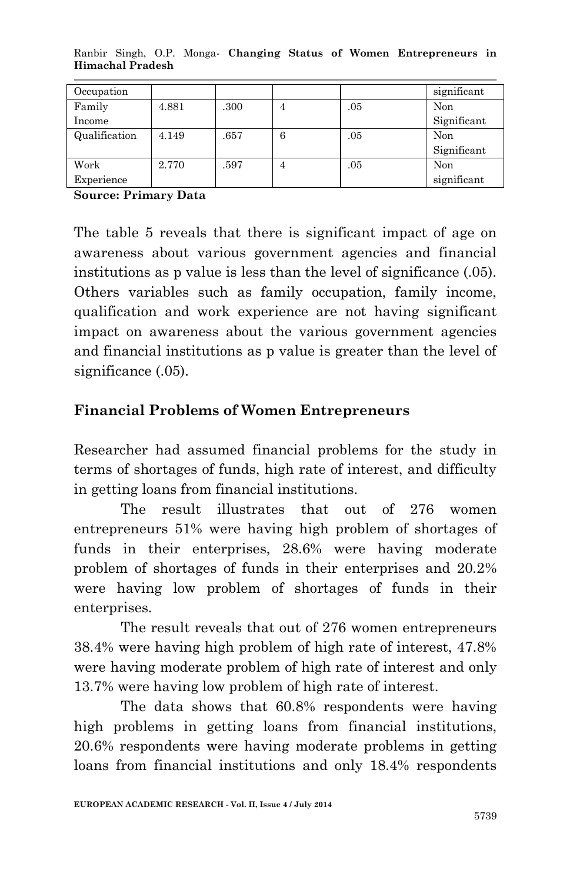| Occupation    |       |      |   |     | significant |
|---------------|-------|------|---|-----|-------------|
| Family        | 4.881 | .300 |   | .05 | Non         |
| Income        |       |      |   |     | Significant |
| Qualification | 4.149 | .657 | 6 | .05 | Non         |
|               |       |      |   |     | Significant |
| Work          | 2.770 | .597 | 4 | .05 | Non         |
| Experience    |       |      |   |     | significant |

Ranbir Singh, O.P. Monga*-* **Changing Status of Women Entrepreneurs in Himachal Pradesh**

**Source: Primary Data**

The table 5 reveals that there is significant impact of age on awareness about various government agencies and financial institutions as p value is less than the level of significance (.05). Others variables such as family occupation, family income, qualification and work experience are not having significant impact on awareness about the various government agencies and financial institutions as p value is greater than the level of significance (.05).

#### **Financial Problems of Women Entrepreneurs**

Researcher had assumed financial problems for the study in terms of shortages of funds, high rate of interest, and difficulty in getting loans from financial institutions.

The result illustrates that out of 276 women entrepreneurs 51% were having high problem of shortages of funds in their enterprises, 28.6% were having moderate problem of shortages of funds in their enterprises and 20.2% were having low problem of shortages of funds in their enterprises.

The result reveals that out of 276 women entrepreneurs 38.4% were having high problem of high rate of interest, 47.8% were having moderate problem of high rate of interest and only 13.7% were having low problem of high rate of interest.

The data shows that 60.8% respondents were having high problems in getting loans from financial institutions, 20.6% respondents were having moderate problems in getting loans from financial institutions and only 18.4% respondents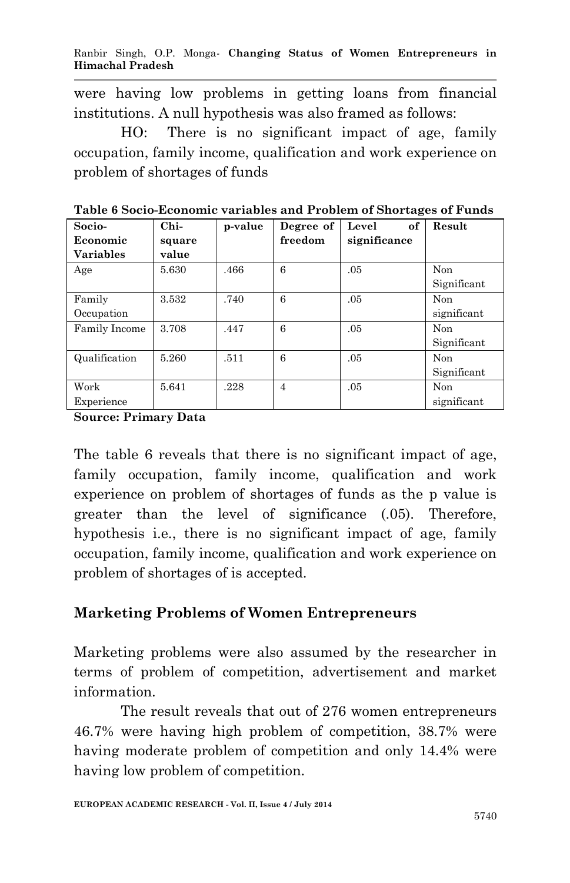were having low problems in getting loans from financial institutions. A null hypothesis was also framed as follows:

HO: There is no significant impact of age, family occupation, family income, qualification and work experience on problem of shortages of funds

| Socio-           | $Chi-$ | p-value | Degree of      | Level<br>of  | Result      |
|------------------|--------|---------|----------------|--------------|-------------|
| Economic         | square |         | freedom        | significance |             |
| <b>Variables</b> | value  |         |                |              |             |
| Age              | 5.630  | .466    | 6              | .05          | Non         |
|                  |        |         |                |              | Significant |
| Family           | 3.532  | .740    | 6              | .05          | Non         |
| Occupation       |        |         |                |              | significant |
| Family Income    | 3.708  | .447    | 6              | .05          | Non         |
|                  |        |         |                |              | Significant |
| Qualification    | 5.260  | .511    | 6              | .05          | Non         |
|                  |        |         |                |              | Significant |
| Work             | 5.641  | .228    | $\overline{4}$ | .05          | Non         |
| Experience       |        |         |                |              | significant |

**Table 6 Socio-Economic variables and Problem of Shortages of Funds**

**Source: Primary Data**

The table 6 reveals that there is no significant impact of age, family occupation, family income, qualification and work experience on problem of shortages of funds as the p value is greater than the level of significance (.05). Therefore, hypothesis i.e., there is no significant impact of age, family occupation, family income, qualification and work experience on problem of shortages of is accepted.

## **Marketing Problems of Women Entrepreneurs**

Marketing problems were also assumed by the researcher in terms of problem of competition, advertisement and market information.

The result reveals that out of 276 women entrepreneurs 46.7% were having high problem of competition, 38.7% were having moderate problem of competition and only 14.4% were having low problem of competition.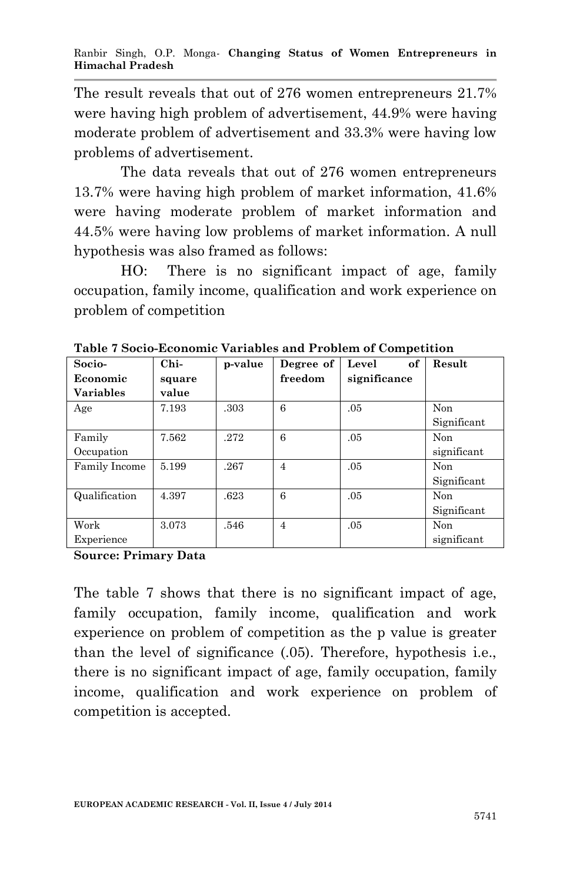The result reveals that out of 276 women entrepreneurs 21.7% were having high problem of advertisement, 44.9% were having moderate problem of advertisement and 33.3% were having low problems of advertisement.

The data reveals that out of 276 women entrepreneurs 13.7% were having high problem of market information, 41.6% were having moderate problem of market information and 44.5% were having low problems of market information. A null hypothesis was also framed as follows:

HO: There is no significant impact of age, family occupation, family income, qualification and work experience on problem of competition

| Socio-           | $Chi-$ | p-value | Degree of      | of<br>Level  | Result      |
|------------------|--------|---------|----------------|--------------|-------------|
| Economic         | square |         | freedom        | significance |             |
| <b>Variables</b> | value  |         |                |              |             |
| Age              | 7.193  | .303    | 6              | .05          | Non         |
|                  |        |         |                |              | Significant |
| Family           | 7.562  | .272    | 6              | .05          | Non         |
| Occupation       |        |         |                |              | significant |
| Family Income    | 5.199  | .267    | 4              | .05          | Non         |
|                  |        |         |                |              | Significant |
| Qualification    | 4.397  | .623    | 6              | .05          | Non         |
|                  |        |         |                |              | Significant |
| Work             | 3.073  | .546    | $\overline{4}$ | .05          | Non         |
| Experience       |        |         |                |              | significant |

**Table 7 Socio-Economic Variables and Problem of Competition**

**Source: Primary Data**

The table 7 shows that there is no significant impact of age, family occupation, family income, qualification and work experience on problem of competition as the p value is greater than the level of significance (.05). Therefore, hypothesis i.e., there is no significant impact of age, family occupation, family income, qualification and work experience on problem of competition is accepted.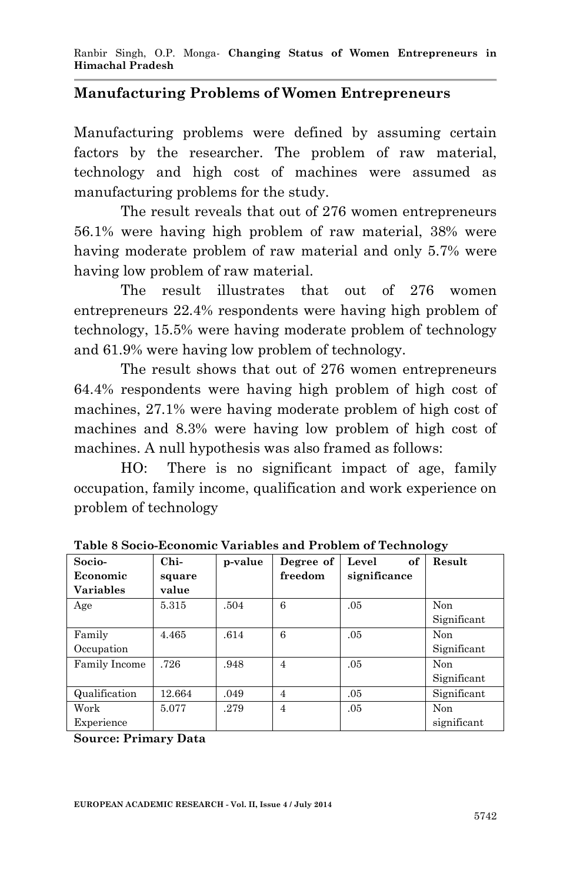#### **Manufacturing Problems of Women Entrepreneurs**

Manufacturing problems were defined by assuming certain factors by the researcher. The problem of raw material, technology and high cost of machines were assumed as manufacturing problems for the study.

The result reveals that out of 276 women entrepreneurs 56.1% were having high problem of raw material, 38% were having moderate problem of raw material and only 5.7% were having low problem of raw material.

The result illustrates that out of 276 women entrepreneurs 22.4% respondents were having high problem of technology, 15.5% were having moderate problem of technology and 61.9% were having low problem of technology.

The result shows that out of 276 women entrepreneurs 64.4% respondents were having high problem of high cost of machines, 27.1% were having moderate problem of high cost of machines and 8.3% were having low problem of high cost of machines. A null hypothesis was also framed as follows:

HO: There is no significant impact of age, family occupation, family income, qualification and work experience on problem of technology

| Socio-           | Chi-   | p-value | Degree of      | Level<br>of  | Result      |
|------------------|--------|---------|----------------|--------------|-------------|
| Economic         | square |         | freedom        | significance |             |
| <b>Variables</b> | value  |         |                |              |             |
| Age              | 5.315  | .504    | 6              | .05          | Non         |
|                  |        |         |                |              | Significant |
| Family           | 4.465  | .614    | 6              | .05          | Non         |
| Occupation       |        |         |                |              | Significant |
| Family Income    | .726   | .948    | $\overline{4}$ | .05          | Non         |
|                  |        |         |                |              | Significant |
| Qualification    | 12.664 | .049    | $\overline{4}$ | .05          | Significant |
| Work             | 5.077  | .279    | $\overline{4}$ | .05          | Non         |
| Experience       |        |         |                |              | significant |

**Table 8 Socio-Economic Variables and Problem of Technology**

**Source: Primary Data**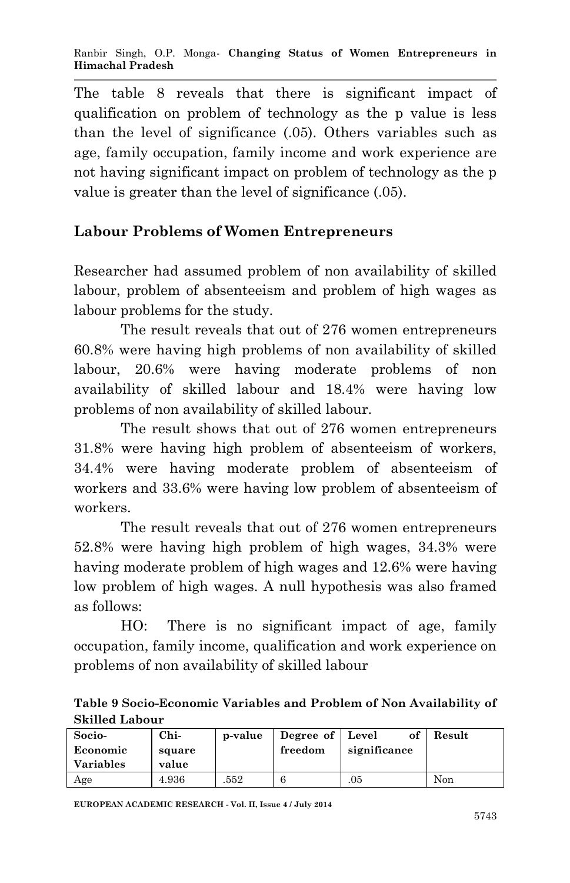The table 8 reveals that there is significant impact of qualification on problem of technology as the p value is less than the level of significance (.05). Others variables such as age, family occupation, family income and work experience are not having significant impact on problem of technology as the p value is greater than the level of significance (.05).

# **Labour Problems of Women Entrepreneurs**

Researcher had assumed problem of non availability of skilled labour, problem of absenteeism and problem of high wages as labour problems for the study.

The result reveals that out of 276 women entrepreneurs 60.8% were having high problems of non availability of skilled labour, 20.6% were having moderate problems of non availability of skilled labour and 18.4% were having low problems of non availability of skilled labour.

The result shows that out of 276 women entrepreneurs 31.8% were having high problem of absenteeism of workers, 34.4% were having moderate problem of absenteeism of workers and 33.6% were having low problem of absenteeism of workers.

The result reveals that out of 276 women entrepreneurs 52.8% were having high problem of high wages, 34.3% were having moderate problem of high wages and 12.6% were having low problem of high wages. A null hypothesis was also framed as follows:

HO: There is no significant impact of age, family occupation, family income, qualification and work experience on problems of non availability of skilled labour

**Table 9 Socio-Economic Variables and Problem of Non Availability of Skilled Labour**

| Socio-           | Chi-   | p-value | Degree of   Level | оf           | Result |
|------------------|--------|---------|-------------------|--------------|--------|
| Economic         | square |         | freedom           | significance |        |
| <b>Variables</b> | value  |         |                   |              |        |
| Age              | 4.936  | 552     |                   | .05          | Non    |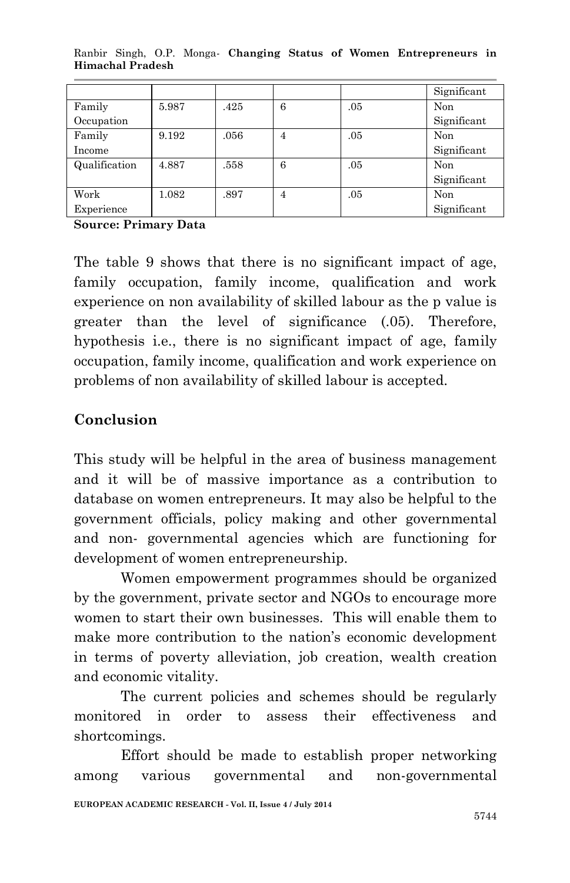|               |       |      |   |     | Significant |
|---------------|-------|------|---|-----|-------------|
| Family        | 5.987 | .425 | 6 | .05 | Non         |
| Occupation    |       |      |   |     | Significant |
| Family        | 9.192 | .056 | 4 | .05 | Non         |
| Income        |       |      |   |     | Significant |
| Qualification | 4.887 | .558 | 6 | .05 | Non         |
|               |       |      |   |     | Significant |
| Work          | 1.082 | .897 | 4 | .05 | Non         |
| Experience    |       |      |   |     | Significant |

Ranbir Singh, O.P. Monga*-* **Changing Status of Women Entrepreneurs in Himachal Pradesh**

**Source: Primary Data**

The table 9 shows that there is no significant impact of age, family occupation, family income, qualification and work experience on non availability of skilled labour as the p value is greater than the level of significance (.05). Therefore, hypothesis i.e., there is no significant impact of age, family occupation, family income, qualification and work experience on problems of non availability of skilled labour is accepted.

## **Conclusion**

This study will be helpful in the area of business management and it will be of massive importance as a contribution to database on women entrepreneurs. It may also be helpful to the government officials, policy making and other governmental and non- governmental agencies which are functioning for development of women entrepreneurship.

Women empowerment programmes should be organized by the government, private sector and NGOs to encourage more women to start their own businesses. This will enable them to make more contribution to the nation's economic development in terms of poverty alleviation, job creation, wealth creation and economic vitality.

The current policies and schemes should be regularly monitored in order to assess their effectiveness and shortcomings.

**EUROPEAN ACADEMIC RESEARCH - Vol. II, Issue 4 / July 2014** Effort should be made to establish proper networking among various governmental and non-governmental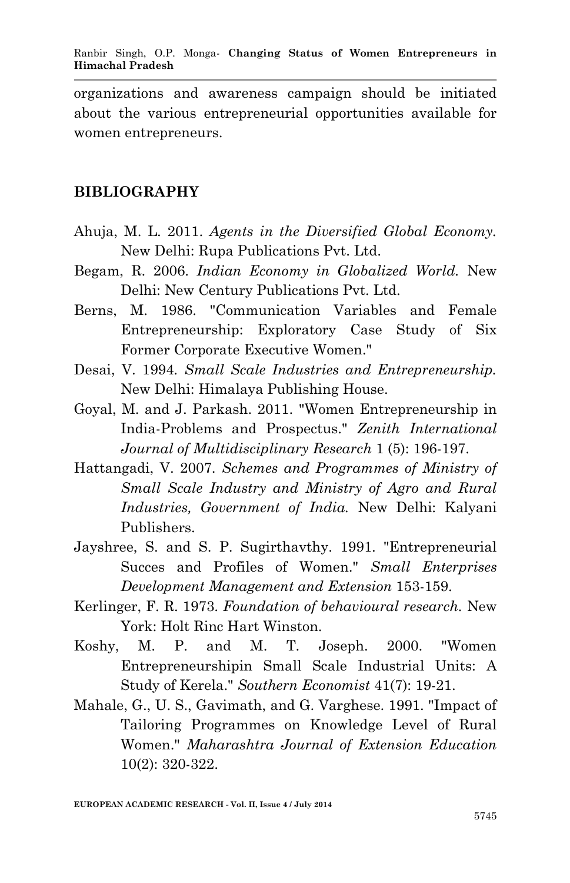organizations and awareness campaign should be initiated about the various entrepreneurial opportunities available for women entrepreneurs.

#### **BIBLIOGRAPHY**

- Ahuja, M. L. 2011. *Agents in the Diversified Global Economy.* New Delhi: Rupa Publications Pvt. Ltd.
- Begam, R. 2006. *Indian Economy in Globalized World.* New Delhi: New Century Publications Pvt. Ltd.
- Berns, M. 1986. "Communication Variables and Female Entrepreneurship: Exploratory Case Study of Six Former Corporate Executive Women."
- Desai, V. 1994. *Small Scale Industries and Entrepreneurship.* New Delhi: Himalaya Publishing House.
- Goyal, M. and J. Parkash. 2011. "Women Entrepreneurship in India-Problems and Prospectus." *Zenith International Journal of Multidisciplinary Research* 1 (5): 196-197.
- Hattangadi, V. 2007. *Schemes and Programmes of Ministry of Small Scale Industry and Ministry of Agro and Rural Industries, Government of India.* New Delhi: Kalyani Publishers.
- Jayshree, S. and S. P. Sugirthavthy. 1991. "Entrepreneurial Succes and Profiles of Women." *Small Enterprises Development Management and Extension* 153-159.
- Kerlinger, F. R. 1973. *Foundation of behavioural research.* New York: Holt Rinc Hart Winston.
- Koshy, M. P. and M. T. Joseph. 2000. "Women Entrepreneurshipin Small Scale Industrial Units: A Study of Kerela." *Southern Economist* 41(7): 19-21.
- Mahale, G., U. S., Gavimath, and G. Varghese. 1991. "Impact of Tailoring Programmes on Knowledge Level of Rural Women." *Maharashtra Journal of Extension Education* 10(2): 320-322.